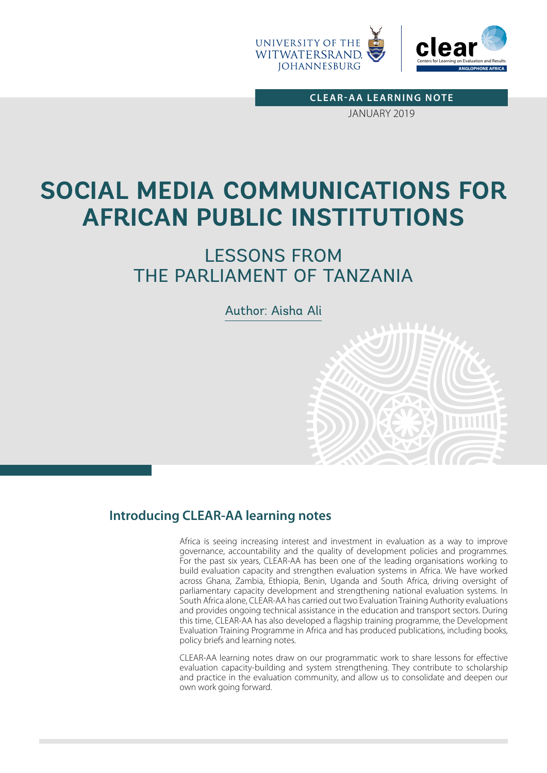

**CLEAR-AA LEARNING NOTE** JANUARY 2019

# **SOCIAL MEDIA COMMUNICATIONS FOR AFRICAN PUBLIC INSTITUTIONS**

## LESSONS FROM THE PARLIAMENT OF TANZANIA

Author: Aisha Ali

## **Introducing CLEAR-AA learning notes**

Africa is seeing increasing interest and investment in evaluation as a way to improve governance, accountability and the quality of development policies and programmes. For the past six years, CLEAR-AA has been one of the leading organisations working to build evaluation capacity and strengthen evaluation systems in Africa. We have worked across Ghana, Zambia, Ethiopia, Benin, Uganda and South Africa, driving oversight of parliamentary capacity development and strengthening national evaluation systems. In South Africa alone, CLEAR-AA has carried out two Evaluation Training Authority evaluations and provides ongoing technical assistance in the education and transport sectors. During this time, CLEAR-AA has also developed a flagship training programme, the Development Evaluation Training Programme in Africa and has produced publications, including books, policy briefs and learning notes.

CLEAR-AA learning notes draw on our programmatic work to share lessons for effective evaluation capacity-building and system strengthening. They contribute to scholarship and practice in the evaluation community, and allow us to consolidate and deepen our own work going forward.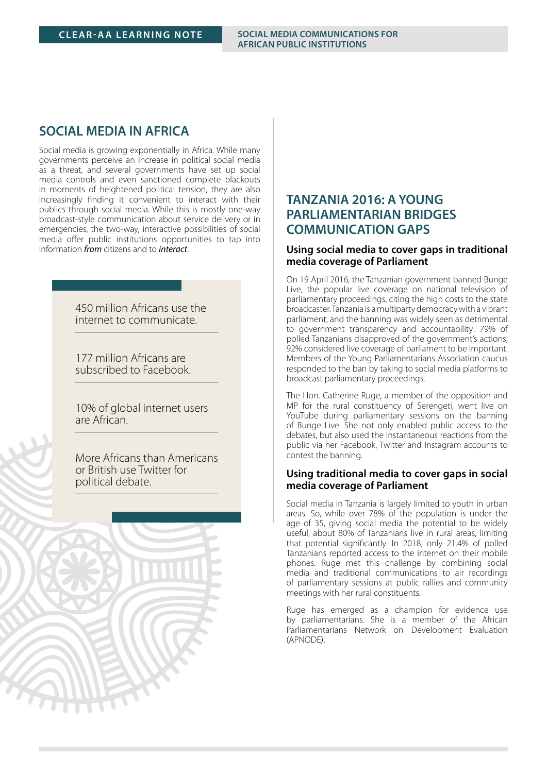#### **CLEAR-AA LEARNING NOTE SOCIAL MEDIA COMMUNICATIONS FOR AFRICAN PUBLIC INSTITUTIONS**

#### **SOCIAL MEDIA IN AFRICA**

Social media is growing exponentially in Africa. While many governments perceive an increase in political social media as a threat, and several governments have set up social media controls and even sanctioned complete blackouts in moments of heightened political tension, they are also increasingly finding it convenient to interact with their publics through social media. While this is mostly one-way broadcast-style communication about service delivery or in emergencies, the two-way, interactive possibilities of social media offer public institutions opportunities to tap into information *from* citizens and to *interact*.

> 450 million Africans use the internet to communicate.

**Fast facts**

177 million Africans are subscribed to Facebook.

10% of global internet users are African.

More Africans than Americans or British use Twitter for political debate.



### **TANZANIA 2016: A YOUNG PARLIAMENTARIAN BRIDGES COMMUNICATION GAPS**

#### **Using social media to cover gaps in traditional media coverage of Parliament**

On 19 April 2016, the Tanzanian government banned Bunge Live, the popular live coverage on national television of parliamentary proceedings, citing the high costs to the state broadcaster. Tanzania is a multiparty democracy with a vibrant parliament, and the banning was widely seen as detrimental to government transparency and accountability: 79% of polled Tanzanians disapproved of the government's actions; 92% considered live coverage of parliament to be important. Members of the Young Parliamentarians Association caucus responded to the ban by taking to social media platforms to broadcast parliamentary proceedings.

The Hon. Catherine Ruge, a member of the opposition and MP for the rural constituency of Serengeti, went live on YouTube during parliamentary sessions on the banning of Bunge Live. She not only enabled public access to the debates, but also used the instantaneous reactions from the public via her Facebook, Twitter and Instagram accounts to contest the banning.

#### **Using traditional media to cover gaps in social media coverage of Parliament**

Social media in Tanzania is largely limited to youth in urban areas. So, while over 78% of the population is under the age of 35, giving social media the potential to be widely useful, about 80% of Tanzanians live in rural areas, limiting that potential significantly. In 2018, only 21.4% of polled Tanzanians reported access to the internet on their mobile phones. Ruge met this challenge by combining social media and traditional communications to air recordings of parliamentary sessions at public rallies and community meetings with her rural constituents.

Ruge has emerged as a champion for evidence use by parliamentarians. She is a member of the African Parliamentarians Network on Development Evaluation (APNODE).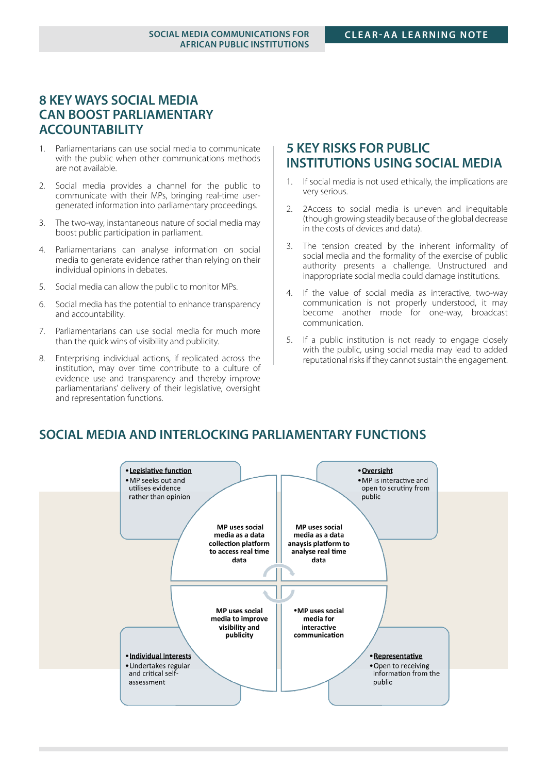## **8 KEY WAYS SOCIAL MEDIA CAN BOOST PARLIAMENTARY ACCOUNTABILITY**

- 1. Parliamentarians can use social media to communicate with the public when other communications methods are not available.
- 2. Social media provides a channel for the public to communicate with their MPs, bringing real-time usergenerated information into parliamentary proceedings.
- 3. The two-way, instantaneous nature of social media may boost public participation in parliament.
- 4. Parliamentarians can analyse information on social media to generate evidence rather than relying on their individual opinions in debates.
- 5. Social media can allow the public to monitor MPs.
- 6. Social media has the potential to enhance transparency and accountability.
- 7. Parliamentarians can use social media for much more than the quick wins of visibility and publicity.
- 8. Enterprising individual actions, if replicated across the institution, may over time contribute to a culture of evidence use and transparency and thereby improve parliamentarians' delivery of their legislative, oversight and representation functions.

## **5 KEY RISKS FOR PUBLIC INSTITUTIONS USING SOCIAL MEDIA**

- 1. If social media is not used ethically, the implications are very serious.
- 2. 2Access to social media is uneven and inequitable (though growing steadily because of the global decrease in the costs of devices and data).
- 3. The tension created by the inherent informality of social media and the formality of the exercise of public authority presents a challenge. Unstructured and inappropriate social media could damage institutions.
- 4. If the value of social media as interactive, two-way communication is not properly understood, it may become another mode for one-way, broadcast communication.
- 5. If a public institution is not ready to engage closely with the public, using social media may lead to added reputational risks if they cannot sustain the engagement.

## **SOCIAL MEDIA AND INTERLOCKING PARLIAMENTARY FUNCTIONS**